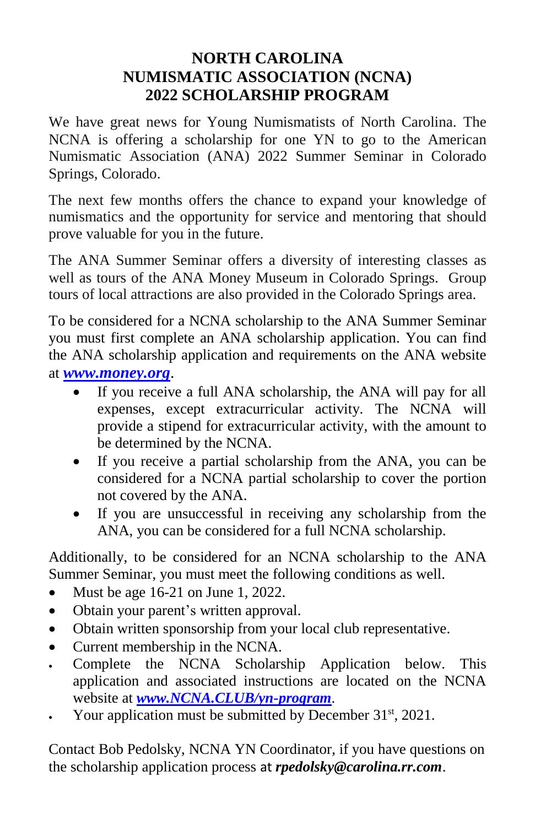#### **NORTH CAROLINA NUMISMATIC ASSOCIATION (NCNA) 2022 SCHOLARSHIP PROGRAM**

We have great news for Young Numismatists of North Carolina. The NCNA is offering a scholarship for one YN to go to the American Numismatic Association (ANA) 2022 Summer Seminar in Colorado Springs, Colorado.

The next few months offers the chance to expand your knowledge of numismatics and the opportunity for service and mentoring that should prove valuable for you in the future.

The ANA Summer Seminar offers a diversity of interesting classes as well as tours of the ANA Money Museum in Colorado Springs. Group tours of local attractions are also provided in the Colorado Springs area.

To be considered for a NCNA scholarship to the ANA Summer Seminar you must first complete an ANA scholarship application. You can find the ANA scholarship application and requirements on the ANA website at *[www.money.org](http://www.money.org/)*.

- If you receive a full ANA scholarship, the ANA will pay for all expenses, except extracurricular activity. The NCNA will provide a stipend for extracurricular activity, with the amount to be determined by the NCNA.
- If you receive a partial scholarship from the ANA, you can be considered for a NCNA partial scholarship to cover the portion not covered by the ANA.
- If you are unsuccessful in receiving any scholarship from the ANA, you can be considered for a full NCNA scholarship.

Additionally, to be considered for an NCNA scholarship to the ANA Summer Seminar, you must meet the following conditions as well.

- $\bullet$  Must be age 16-21 on June 1, 2022.
- Obtain your parent's written approval.
- Obtain written sponsorship from your local club representative.
- Current membership in the NCNA.
- Complete the NCNA Scholarship Application below. This application and associated instructions are located on the NCNA website at *[www.NCNA.CLUB/yn-program](http://www.ncna.club/yn-program)*.
- Your application must be submitted by December 31<sup>st</sup>, 2021.

Contact Bob Pedolsky, NCNA YN Coordinator, if you have questions on the scholarship application process at *rpedolsky@carolina.rr.com*.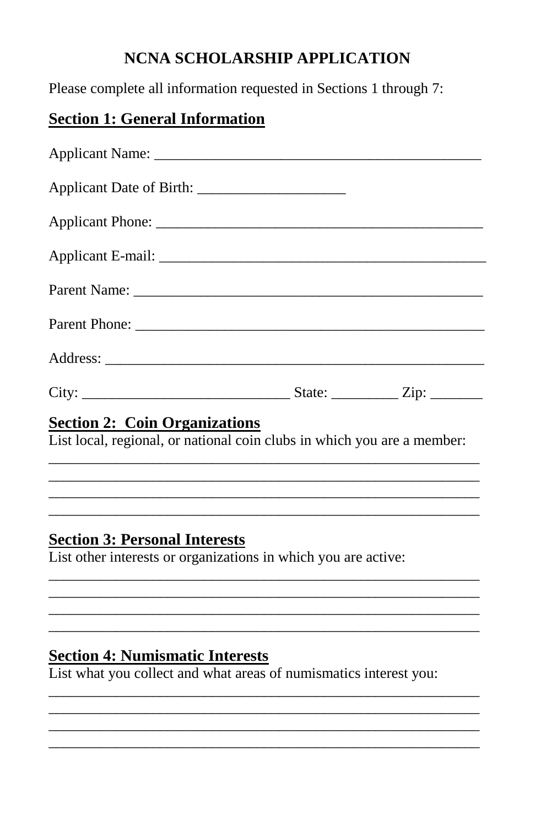## **NCNA SCHOLARSHIP APPLICATION**

Please complete all information requested in Sections 1 through 7:

### **Section 1: General Information**

| Applicant Phone:                                                                                                |  |  |
|-----------------------------------------------------------------------------------------------------------------|--|--|
|                                                                                                                 |  |  |
|                                                                                                                 |  |  |
|                                                                                                                 |  |  |
|                                                                                                                 |  |  |
|                                                                                                                 |  |  |
| <b>Section 2: Coin Organizations</b><br>List local, regional, or national coin clubs in which you are a member: |  |  |
|                                                                                                                 |  |  |

## **Section 3: Personal Interests**

List other interests or organizations in which you are active:

#### **Section 4: Numismatic Interests**

List what you collect and what areas of numismatics interest you: